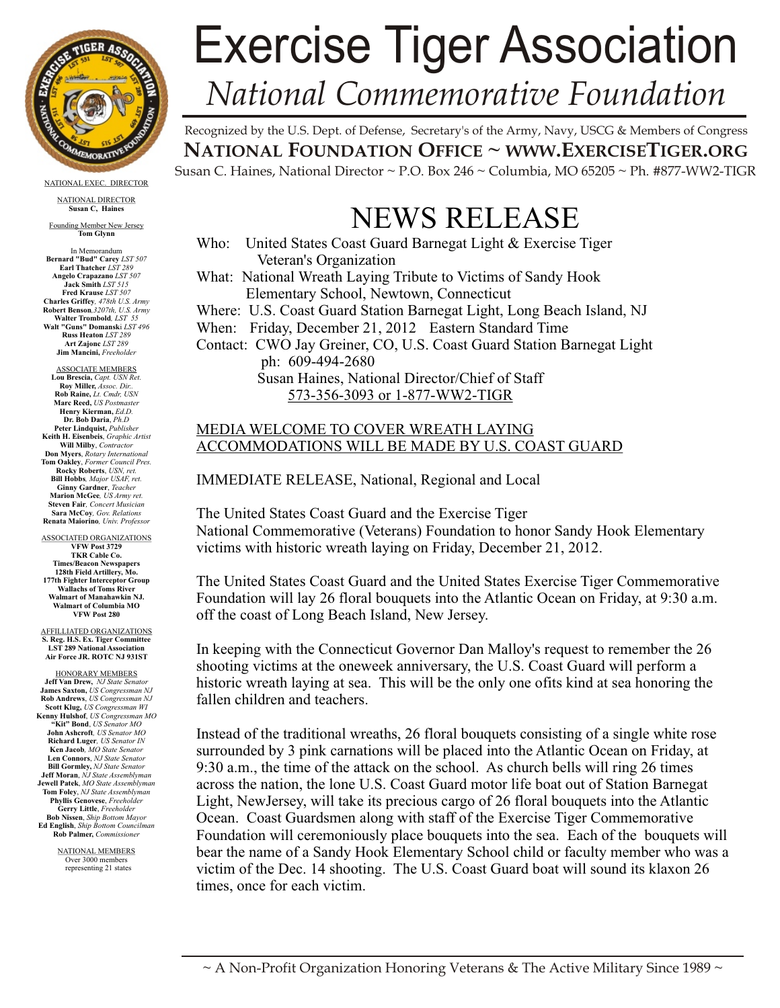

NATIONAL EXEC. DIRECTOR

NATIONAL DIRECTOR **Susan C, Haines**

Founding Member New Jersey **Tom Glynn**

In Memorandum **Bernard "Bud" Carey** *LST 507* **Earl Thatcher** *LST 289* **Angelo Crapazano** *LST 507* **Jack Smith** *LST 515* **Fred Krause** *LST 507* **Charles Griffey***, 478th U.S. Army* **Robert Benson***,3207th, U.S. Army* **Walter Trombold***, LST 55* **Walt "Guns" Domansk**i *LST 496* **Russ Heaton** *LST 289* **Art Zajonc** *LST 289* **Jim Mancini,** *Freeholder*

ASSOCIATE MEMBERS **Lou Brescia,** *Capt. USN Ret.* **Roy Miller,** *Assoc. Dir..* **Rob Raine,** *Lt. Cmdr, USN* **Marc Reed,** *US Postmaster* **Henry Kierman,** *Ed.D.* **Dr. Bob Daria**, *Ph.D* **Peter Lindquist,** *Publisher* **Keith H. Eisenbeis**, *Graphic Artist* **Will Milby**, *Contractor* **Don Myers**, *Rotary Internatio* **Tom Oakley**, *Former Council Pres.* **Rocky Roberts**, *USN, ret.*  **Bill Hobbs***, Major USAF, ret.* **Ginny Gardner**, *Teacher* **Marion McGee***, US Army ret.* **Steven Fair***, Concert Musician* **Sara McCoy***, Gov. Relations* **Renata Maiorino***, Univ. Professor*

ASSOCIATED ORGANIZATIONS **VFW Post 3729 TKR Cable Co. Times/Beacon Newspapers 128th Field Artillery, Mo. 177th Fighter Interceptor Group Wallachs of Toms River Walmart of Manahawkin NJ. Walmart of Columbia MO VFW Post 280**

AFFILLIATED ORGANIZATIONS **S. Reg. H.S. Ex. Tiger Committee LST 289 National Association Air Force JR. ROTC NJ 931ST**

HONORARY MEMBERS **Jeff Van Drew,** *NJ State Senator* **James Saxton,** *US Congressman NJ* **Rob Andrews**, *US Congressman NJ* **Scott Klug,** *US Congressman WI* **Kenny Hulshof**, *US Congressman MO* **"Kit" Bond**, *US Senator MO* **John Ashcroft***, US Senator MO* **Richard Luger***, US Senator IN* **Ken Jacob***, MO State Senator* **Len Connors**, *NJ State Senator* **Bill Gormley,** *NJ State Senator* **Jeff Moran**, *NJ State Assemblyman* **Jewell Patek**, *MO State Assemblyman* **Tom Foley**, *NJ State Assemblyman* **Phyllis Genovese**, *Freeholder* **Gerry Little**, *Freeholder* **Bob Nissen**, *Ship Bottom Mayor* **Ed English**, *Ship Bottom Councilman* **Rob Palmer,** *Commissioner*

> NATIONAL MEMBERS Over 3000 members representing 21 states

## Exercise Tiger Association *National Commemorative Foundation*

Recognized by the U.S. Dept. of Defense, Secretary's of the Army, Navy, USCG & Members of Congress **NATIONAL FOUNDATION OFFICE ~ WWW.EXERCISETIGER.ORG** Susan C. Haines, National Director  $\sim$  P.O. Box 246  $\sim$  Columbia, MO 65205  $\sim$  Ph. #877-WW2-TIGR

## NEWS RELEASE

Who: United States Coast Guard Barnegat Light & Exercise Tiger Veteran's Organization What: National Wreath Laying Tribute to Victims of Sandy Hook Elementary School, Newtown, Connecticut Where: U.S. Coast Guard Station Barnegat Light, Long Beach Island, NJ When: Friday, December 21, 2012 Eastern Standard Time Contact: CWO Jay Greiner, CO, U.S. Coast Guard Station Barnegat Light ph: 609-494-2680 Susan Haines, National Director/Chief of Staff 573-356-3093 or 1-877-WW2-TIGR

## MEDIA WELCOME TO COVER WREATH LAYING ACCOMMODATIONS WILL BE MADE BY U.S. COAST GUARD

IMMEDIATE RELEASE, National, Regional and Local

The United States Coast Guard and the Exercise Tiger National Commemorative (Veterans) Foundation to honor Sandy Hook Elementary victims with historic wreath laying on Friday, December 21, 2012.

The United States Coast Guard and the United States Exercise Tiger Commemorative Foundation will lay 26 floral bouquets into the Atlantic Ocean on Friday, at 9:30 a.m. off the coast of Long Beach Island, New Jersey.

In keeping with the Connecticut Governor Dan Malloy's request to remember the 26 shooting victims at the oneweek anniversary, the U.S. Coast Guard will perform a historic wreath laying at sea. This will be the only one ofits kind at sea honoring the fallen children and teachers.

Instead of the traditional wreaths, 26 floral bouquets consisting of a single white rose surrounded by 3 pink carnations will be placed into the Atlantic Ocean on Friday, at 9:30 a.m., the time of the attack on the school. As church bells will ring 26 times across the nation, the lone U.S. Coast Guard motor life boat out of Station Barnegat Light, NewJersey, will take its precious cargo of 26 floral bouquets into the Atlantic Ocean. Coast Guardsmen along with staff of the Exercise Tiger Commemorative Foundation will ceremoniously place bouquets into the sea. Each of the bouquets will bear the name of a Sandy Hook Elementary School child or faculty member who was a victim of the Dec. 14 shooting. The U.S. Coast Guard boat will sound its klaxon 26 times, once for each victim.